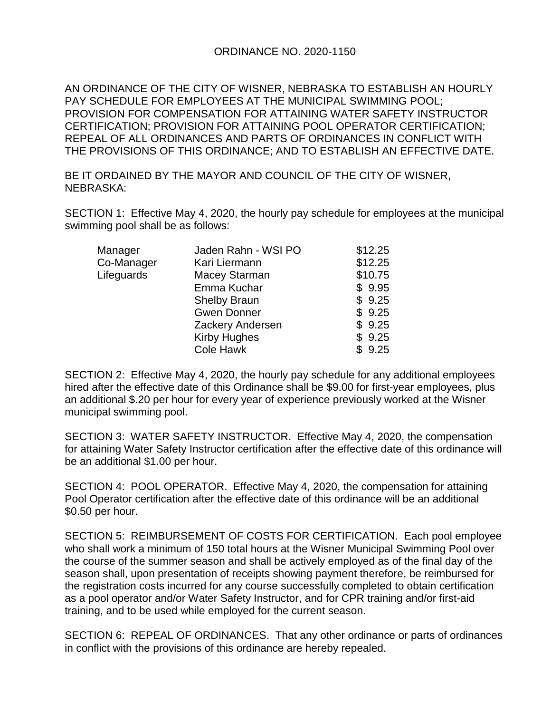## ORDINANCE NO. 2020-1150

AN ORDINANCE OF THE CITY OF WISNER, NEBRASKA TO ESTABLISH AN HOURLY PAY SCHEDULE FOR EMPLOYEES AT THE MUNICIPAL SWIMMING POOL; PROVISION FOR COMPENSATION FOR ATTAINING WATER SAFETY INSTRUCTOR CERTIFICATION; PROVISION FOR ATTAINING POOL OPERATOR CERTIFICATION; REPEAL OF ALL ORDINANCES AND PARTS OF ORDINANCES IN CONFLICT WITH THE PROVISIONS OF THIS ORDINANCE; AND TO ESTABLISH AN EFFECTIVE DATE.

BE IT ORDAINED BY THE MAYOR AND COUNCIL OF THE CITY OF WISNER, NEBRASKA:

SECTION 1: Effective May 4, 2020, the hourly pay schedule for employees at the municipal swimming pool shall be as follows:

| Manager    | Jaden Rahn - WSI PO | \$12.25 |
|------------|---------------------|---------|
| Co-Manager | Kari Liermann       | \$12.25 |
| Lifeguards | Macey Starman       | \$10.75 |
|            | Emma Kuchar         | \$9.95  |
|            | <b>Shelby Braun</b> | \$9.25  |
|            | <b>Gwen Donner</b>  | \$9.25  |
|            | Zackery Andersen    | \$9.25  |
|            | <b>Kirby Hughes</b> | \$9.25  |
|            | <b>Cole Hawk</b>    | \$9.25  |
|            |                     |         |

SECTION 2: Effective May 4, 2020, the hourly pay schedule for any additional employees hired after the effective date of this Ordinance shall be \$9.00 for first-year employees, plus an additional \$.20 per hour for every year of experience previously worked at the Wisner municipal swimming pool.

SECTION 3: WATER SAFETY INSTRUCTOR. Effective May 4, 2020, the compensation for attaining Water Safety Instructor certification after the effective date of this ordinance will be an additional \$1.00 per hour.

SECTION 4: POOL OPERATOR. Effective May 4, 2020, the compensation for attaining Pool Operator certification after the effective date of this ordinance will be an additional \$0.50 per hour.

SECTION 5: REIMBURSEMENT OF COSTS FOR CERTIFICATION. Each pool employee who shall work a minimum of 150 total hours at the Wisner Municipal Swimming Pool over the course of the summer season and shall be actively employed as of the final day of the season shall, upon presentation of receipts showing payment therefore, be reimbursed for the registration costs incurred for any course successfully completed to obtain certification as a pool operator and/or Water Safety Instructor, and for CPR training and/or first-aid training, and to be used while employed for the current season.

SECTION 6: REPEAL OF ORDINANCES. That any other ordinance or parts of ordinances in conflict with the provisions of this ordinance are hereby repealed.